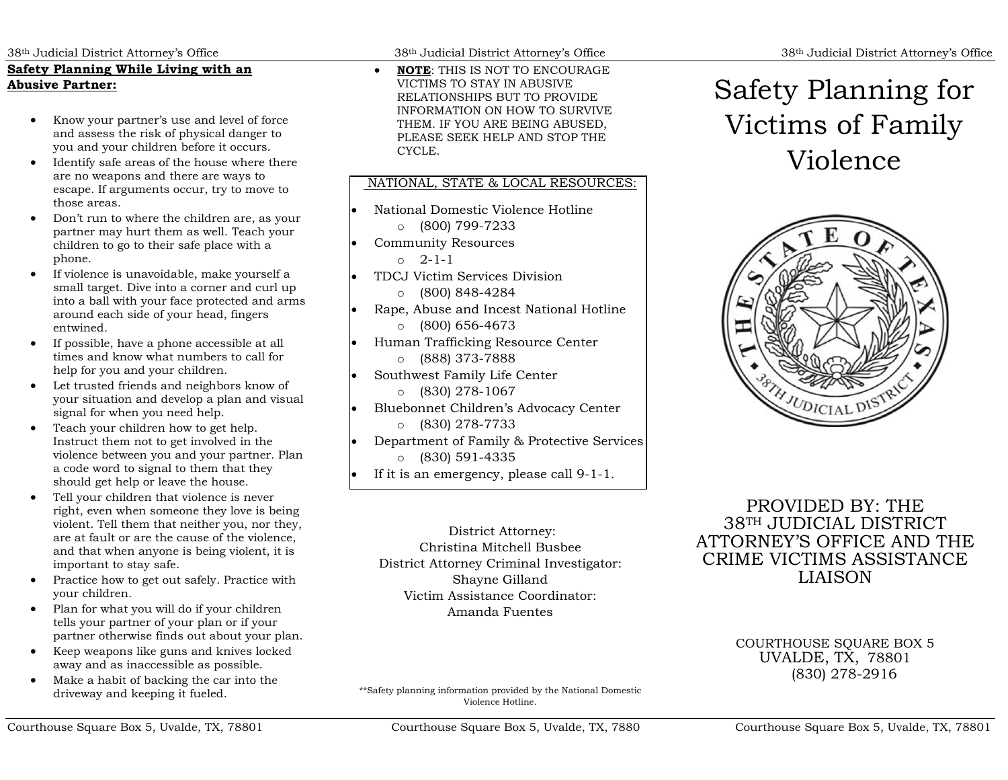# **Safety Planning While Living with an Abusive Partner:**

- Know your partner's use and level of force and assess the risk of physical danger to you and your children before it occurs.
- Identify safe areas of the house where there are no weapons and there are ways to escape. If arguments occur, try to move to those areas.
- Don't run to where the children are, as your partner may hurt them as well. Teach your children to go to their safe place with a phone.
- If violence is unavoidable, make yourself a small target. Dive into a corner and curl up into a ball with your face protected and arms around each side of your head, fingers entwined.
- If possible, have a phone accessible at all times and know what numbers to call for help for you and your children.
- Let trusted friends and neighbors know of your situation and develop a plan and visual signal for when you need help.
- Teach your children how to get help. Instruct them not to get involved in the violence between you and your partner. Plan a code word to signal to them that they should get help or leave the house.
- Tell your children that violence is never right, even when someone they love is being violent. Tell them that neither you, nor they, are at fault or are the cause of the violence, and that when anyone is being violent, it is important to stay safe.
- Practice how to get out safely. Practice with your children.
- Plan for what you will do if your children tells your partner of your plan or if your partner otherwise finds out about your plan.
- Keep weapons like guns and knives locked away and as inaccessible as possible.
- Make a habit of backing the car into the driveway and keeping it fueled.

38th Judicial District Attorney's Office 38th Judicial District Attorney's Office 38th Judicial District Attorney's Office

• **NOTE**: THIS IS NOT TO ENCOURAGE VICTIMS TO STAY IN ABUSIVE RELATIONSHIPS BUT TO PROVIDE INFORMATION ON HOW TO SURVIVE THEM. IF YOU ARE BEING ABUSED, PLEASE SEEK HELP AND STOP THE CYCLE.

# NATIONAL, STATE & LOCAL RESOURCES:

• National Domestic Violence Hotline o (800) 799-7233 • Community Resources o 2-1-1 • TDCJ Victim Services Division o (800) 848-4284 • Rape, Abuse and Incest National Hotline o (800) 656-4673 • Human Trafficking Resource Center o (888) 373-7888 Southwest Family Life Center o (830) 278-1067 • Bluebonnet Children's Advocacy Center o (830) 278-7733 • Department of Family & Protective Services o (830) 591-4335 If it is an emergency, please call 9-1-1.

District Attorney: Christina Mitchell Busbee District Attorney Criminal Investigator: Shayne Gilland Victim Assistance Coordinator: Amanda Fuentes

\*\*Safety planning information provided by the National Domestic Violence Hotline.

# Safety Planning for Victims of Family Violence



PROVIDED BY: THE 38TH JUDICIAL DISTRICT ATTORNEY'S OFFICE AND THE CRIME VICTIMS ASSISTANCE LIAISON

> COURTHOUSE SOUARE BOX 5 UVALDE, TX, <sup>78801</sup> (830) 278-2916